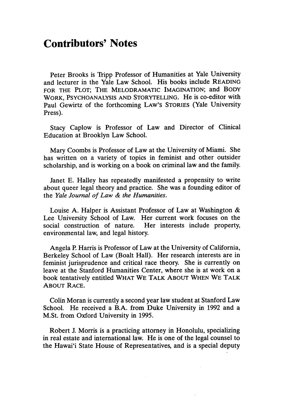## **Contributors' Notes**

Peter Brooks is Tripp Professor of Humanities at Yale University and lecturer in the Yale Law School. His books include **READING** FOR THE PLOT; THE MELODRAMATIC IMAGINATION; and BODY WORK, **PSYCHOANALYSIS AND** STORYTELLING. He is co-editor with Paul Gewirtz of the forthcoming LAW'S STORIES (Yale University Press).

Stacy Caplow is Professor of Law and Director of Clinical Education at Brooklyn Law School.

Mary Coombs is Professor of Law at the University of Miami. She has written on a variety of topics in feminist and other outsider scholarship, and is working on a book on criminal law and the family.

Janet E. Halley has repeatedly manifested a propensity to write about queer legal theory and practice. She was a founding editor of the *Yale Journal of Law & the Humanities.*

Louise A. Halper is Assistant Professor of Law at Washington & Lee University School of Law. Her current work focuses on the social construction of nature. Her interests include property, environmental law, and legal history.

Angela P. Harris is Professor of Law at the University of California, Berkeley School of Law (Boalt Hall). Her research interests are in feminist jurisprudence and critical race theory. She is currently on leave at the Stanford Humanities Center, where she is at work on a book tentatively entitled WHAT WE TALK **ABOUT WHEN** WE TALK **ABOUT** RACE.

Colin Moran is currently a second year law student at Stanford Law School. He received a B.A. from Duke University in 1992 and a M.St. from Oxford University in 1995.

Robert J. Morris is a practicing attorney in Honolulu, specializing in real estate and international law. He is one of the legal counsel to the Hawai'i State House of Representatives, and is a special deputy